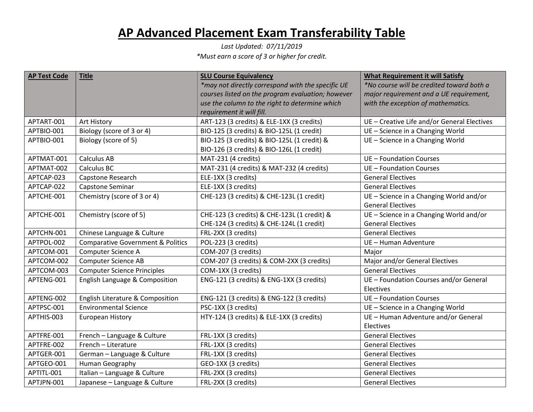## **AP Advanced Placement Exam Transferability Table**

*Last Updated: 07/11/2019 \*Must earn a score of 3 or higher for credit.*

| <b>AP Test Code</b> | <b>Title</b>                                 | <b>SLU Course Equivalency</b>                     | <b>What Requirement it will Satisfy</b>     |
|---------------------|----------------------------------------------|---------------------------------------------------|---------------------------------------------|
|                     |                                              | *may not directly correspond with the specific UE | *No course will be credited toward both a   |
|                     |                                              | courses listed on the program evaluation; however | major requirement and a UE requirement,     |
|                     |                                              | use the column to the right to determine which    | with the exception of mathematics.          |
|                     |                                              | requirement it will fill.                         |                                             |
| APTART-001          | Art History                                  | ART-123 (3 credits) & ELE-1XX (3 credits)         | UE - Creative Life and/or General Electives |
| APTBIO-001          | Biology (score of 3 or 4)                    | BIO-125 (3 credits) & BIO-125L (1 credit)         | UE - Science in a Changing World            |
| APTBIO-001          | Biology (score of 5)                         | BIO-125 (3 credits) & BIO-125L (1 credit) &       | UE - Science in a Changing World            |
|                     |                                              | BIO-126 (3 credits) & BIO-126L (1 credit)         |                                             |
| APTMAT-001          | <b>Calculus AB</b>                           | MAT-231 (4 credits)                               | UE - Foundation Courses                     |
| APTMAT-002          | Calculus BC                                  | MAT-231 (4 credits) & MAT-232 (4 credits)         | UE - Foundation Courses                     |
| APTCAP-023          | Capstone Research                            | ELE-1XX (3 credits)                               | <b>General Electives</b>                    |
| APTCAP-022          | Capstone Seminar                             | ELE-1XX (3 credits)                               | <b>General Electives</b>                    |
| APTCHE-001          | Chemistry (score of 3 or 4)                  | CHE-123 (3 credits) & CHE-123L (1 credit)         | UE - Science in a Changing World and/or     |
|                     |                                              |                                                   | <b>General Electives</b>                    |
| APTCHE-001          | Chemistry (score of 5)                       | CHE-123 (3 credits) & CHE-123L (1 credit) &       | UE - Science in a Changing World and/or     |
|                     |                                              | CHE-124 (3 credits) & CHE-124L (1 credit)         | <b>General Electives</b>                    |
| APTCHN-001          | Chinese Language & Culture                   | FRL-2XX (3 credits)                               | <b>General Electives</b>                    |
| APTPOL-002          | <b>Comparative Government &amp; Politics</b> | POL-223 (3 credits)                               | UE - Human Adventure                        |
| APTCOM-001          | Computer Science A                           | COM-207 (3 credits)                               | Major                                       |
| APTCOM-002          | <b>Computer Science AB</b>                   | COM-207 (3 credits) & COM-2XX (3 credits)         | Major and/or General Electives              |
| APTCOM-003          | <b>Computer Science Principles</b>           | COM-1XX (3 credits)                               | <b>General Electives</b>                    |
| APTENG-001          | English Language & Composition               | ENG-121 (3 credits) & ENG-1XX (3 credits)         | UE - Foundation Courses and/or General      |
|                     |                                              |                                                   | Electives                                   |
| APTENG-002          | English Literature & Composition             | ENG-121 (3 credits) & ENG-122 (3 credits)         | UE - Foundation Courses                     |
| APTPSC-001          | <b>Environmental Science</b>                 | PSC-1XX (3 credits)                               | UE - Science in a Changing World            |
| APTHIS-003          | <b>European History</b>                      | HTY-124 (3 credits) & ELE-1XX (3 credits)         | UE - Human Adventure and/or General         |
|                     |                                              |                                                   | Electives                                   |
| APTFRE-001          | French - Language & Culture                  | FRL-1XX (3 credits)                               | <b>General Electives</b>                    |
| APTFRE-002          | French - Literature                          | FRL-1XX (3 credits)                               | <b>General Electives</b>                    |
| APTGER-001          | German - Language & Culture                  | FRL-1XX (3 credits)                               | <b>General Electives</b>                    |
| APTGEO-001          | Human Geography                              | GEO-1XX (3 credits)                               | <b>General Electives</b>                    |
| APTITL-001          | Italian - Language & Culture                 | FRL-2XX (3 credits)                               | <b>General Electives</b>                    |
| APTJPN-001          | Japanese - Language & Culture                | FRL-2XX (3 credits)                               | <b>General Electives</b>                    |